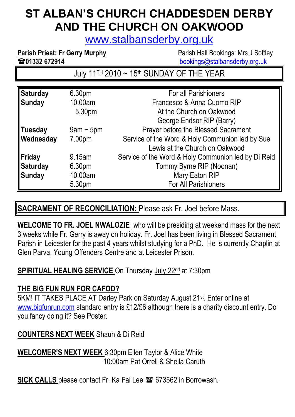# **ST ALBAN'S CHURCH CHADDESDEN DERBY AND THE CHURCH ON OAKWOOD**

[www.stalbansderby.org.uk](http://www.stalbansderby.org.uk/)

**Parish Priest: Fr Gerry Murphy** Parish Hall Bookings: Mrs J Softley

**1988年 1999年 1999年 1999年 1999年 1999年 1021年 1022年 1023年 1023年 1023年 1023年 1023年 1024年 1025年 1025年 1025年 1025年 1025年 1025年 1025年 1025年 1025年 1025年 1025年 1025年 1025年 1025年 1025年 1025年 1025年 1025年 1025年 1025年 1025年 1025年 1025** 

July 11<sup>TH</sup> 2010 ~ 15<sup>th</sup> SUNDAY OF THE YEAR

| <b>Saturday</b> | 6.30 <sub>pm</sub> | For all Parishioners                                |
|-----------------|--------------------|-----------------------------------------------------|
| <b>Sunday</b>   | 10.00am            | Francesco & Anna Cuomo RIP                          |
|                 | 5.30pm             | At the Church on Oakwood                            |
|                 |                    | George Endsor RIP (Barry)                           |
| <b>Tuesday</b>  | $9$ am ~ $5$ pm    | Prayer before the Blessed Sacrament                 |
| Wednesday       | 7.00pm             | Service of the Word & Holy Communion led by Sue     |
|                 |                    | Lewis at the Church on Oakwood                      |
| Friday          | 9.15am             | Service of the Word & Holy Communion led by Di Reid |
| <b>Saturday</b> | 6.30pm             | Tommy Byrne RIP (Noonan)                            |
| <b>Sunday</b>   | 10.00am            | <b>Mary Eaton RIP</b>                               |
|                 | 5.30pm             | For All Parishioners                                |

### **SACRAMENT OF RECONCILIATION:** Please ask Fr. Joel before Mass.

**WELCOME TO FR. JOEL NWALOZIE** who will be presiding at weekend mass for the next 3 weeks while Fr. Gerry is away on holiday. Fr. Joel has been living in Blessed Sacrament Parish in Leicester for the past 4 years whilst studying for a PhD. He is currently Chaplin at Glen Parva, Young Offenders Centre and at Leicester Prison.

#### **SPIRITUAL HEALING SERVICE** On Thursday July 22<sup>nd</sup> at 7:30pm

#### **THE BIG FUN RUN FOR CAFOD?**

5KM! IT TAKES PLACE AT Darley Park on Saturday August 21<sup>st</sup>. Enter online at [www.bigfunrun.com](http://www.bigfunrun.com/) standard entry is £12/£6 although there is a charity discount entry. Do you fancy doing it? See Poster.

#### **COUNTERS NEXT WEEK** Shaun & Di Reid

**WELCOMER'S NEXT WEEK** 6:30pm Ellen Taylor & Alice White 10:00am Pat Orrell & Sheila Caruth

**SICK CALLS** please contact Fr. Ka Fai Lee  $\mathbf{\mathcal{F}}$  673562 in Borrowash.